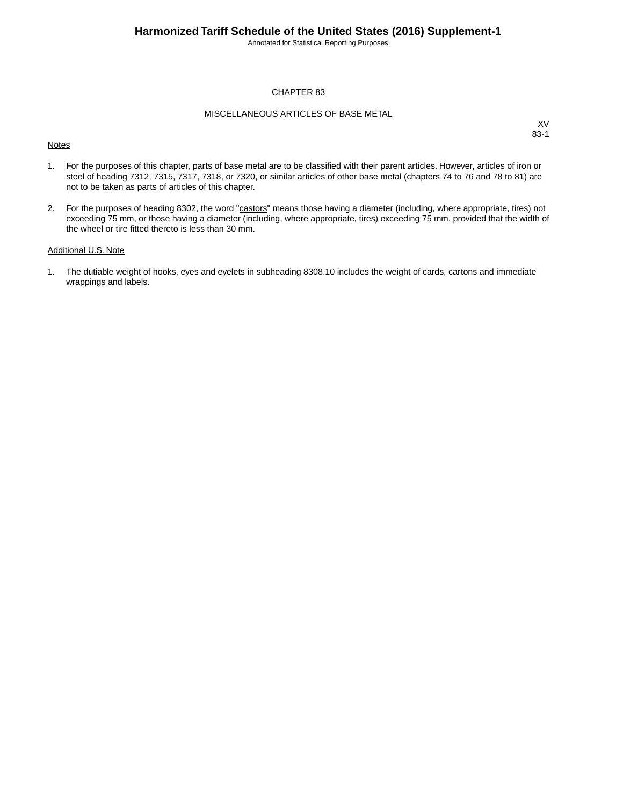Annotated for Statistical Reporting Purposes

#### CHAPTER 83

#### MISCELLANEOUS ARTICLES OF BASE METAL

#### **Notes**

XV 83-1

- 1. For the purposes of this chapter, parts of base metal are to be classified with their parent articles. However, articles of iron or steel of heading 7312, 7315, 7317, 7318, or 7320, or similar articles of other base metal (chapters 74 to 76 and 78 to 81) are not to be taken as parts of articles of this chapter.
- 2. For the purposes of heading 8302, the word "castors" means those having a diameter (including, where appropriate, tires) not exceeding 75 mm, or those having a diameter (including, where appropriate, tires) exceeding 75 mm, provided that the width of the wheel or tire fitted thereto is less than 30 mm.

#### Additional U.S. Note

1. The dutiable weight of hooks, eyes and eyelets in subheading 8308.10 includes the weight of cards, cartons and immediate wrappings and labels.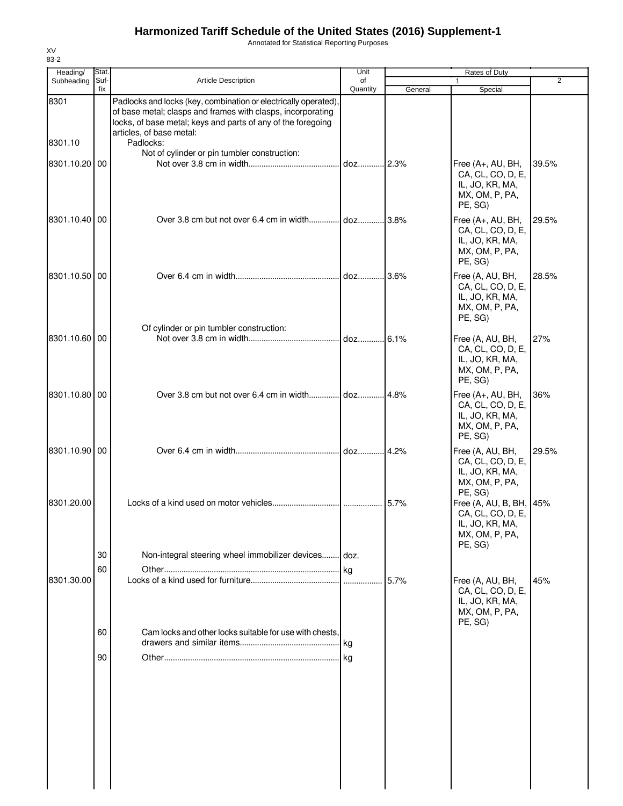Annotated for Statistical Reporting Purposes

| Heading/        | Stat.       |                                                                                                                                                                                                                                         | Unit           |         | Rates of Duty                                                                                |                |
|-----------------|-------------|-----------------------------------------------------------------------------------------------------------------------------------------------------------------------------------------------------------------------------------------|----------------|---------|----------------------------------------------------------------------------------------------|----------------|
| Subheading      | Suf-<br>fix | <b>Article Description</b>                                                                                                                                                                                                              | of<br>Quantity | General | 1<br>Special                                                                                 | $\overline{2}$ |
| 8301<br>8301.10 |             | Padlocks and locks (key, combination or electrically operated),<br>of base metal; clasps and frames with clasps, incorporating<br>locks, of base metal; keys and parts of any of the foregoing<br>articles, of base metal:<br>Padlocks: |                |         |                                                                                              |                |
| 8301.10.20 00   |             | Not of cylinder or pin tumbler construction:                                                                                                                                                                                            | .ldozl2.3%     |         | Free (A+, AU, BH,<br>CA, CL, CO, D, E,<br>IL, JO, KR, MA,<br>MX, OM, P, PA,<br>PE, SG)       | 39.5%          |
| 8301.10.40 00   |             |                                                                                                                                                                                                                                         |                |         | Free (A+, AU, BH,<br>CA, CL, CO, D, E,<br>IL, JO, KR, MA,<br>MX, OM, P, PA,<br>PE, SG)       | 29.5%          |
| 8301.10.50 00   |             |                                                                                                                                                                                                                                         | doz 3.6%       |         | Free (A, AU, BH,<br>CA, CL, CO, D, E,<br>IL, JO, KR, MA,<br>MX, OM, P, PA,<br>PE, SG)        | 28.5%          |
| 8301.10.60 00   |             | Of cylinder or pin tumbler construction:                                                                                                                                                                                                | $\log$ = 0.1%  |         | Free (A, AU, BH,<br>CA, CL, CO, D, E,<br>IL, JO, KR, MA,<br>MX, OM, P, PA,<br>PE, SG)        | 27%            |
| 8301.10.80 00   |             |                                                                                                                                                                                                                                         |                | 4.8%    | Free (A+, AU, BH,<br>CA, CL, CO, D, E,<br>IL, JO, KR, MA,<br>MX, OM, P, PA,<br>PE, SG)       | 36%            |
| 8301.10.90 00   |             |                                                                                                                                                                                                                                         |                |         | Free (A, AU, BH,<br>CA, CL, CO, D, E,<br>IL, JO, KR, MA,<br>MX, OM, P, PA,<br>PE, SG)        | 29.5%          |
| 8301.20.00      | 30<br>60    | Non-integral steering wheel immobilizer devices doz.                                                                                                                                                                                    |                | 5.7%    | Free (A, AU, B, BH, 45%<br>CA, CL, CO, D, E,<br>IL, JO, KR, MA,<br>MX, OM, P, PA,<br>PE, SG) |                |
| 8301.30.00      |             |                                                                                                                                                                                                                                         | .lkg           | 5.7%    | Free (A, AU, BH,<br>CA, CL, CO, D, E,<br>IL, JO, KR, MA,<br>MX, OM, P, PA,<br>PE, SG)        | 45%            |
|                 | 60<br>90    | Cam locks and other locks suitable for use with chests,                                                                                                                                                                                 | l kg           |         |                                                                                              |                |
|                 |             |                                                                                                                                                                                                                                         |                |         |                                                                                              |                |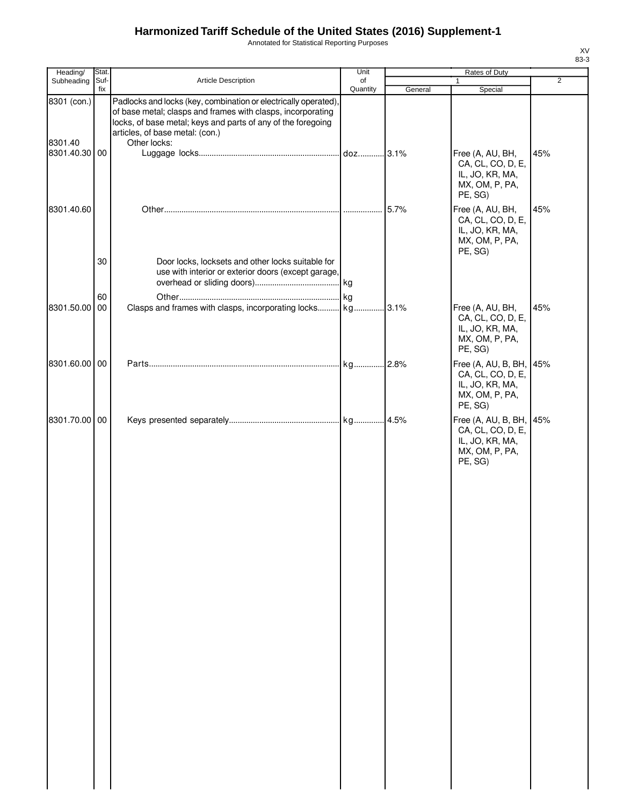Annotated for Statistical Reporting Purposes

| Heading/               | Stat.       |                                                                                                                                                                                                                                                   | Unit           |         | Rates of Duty                                                                            |                |
|------------------------|-------------|---------------------------------------------------------------------------------------------------------------------------------------------------------------------------------------------------------------------------------------------------|----------------|---------|------------------------------------------------------------------------------------------|----------------|
| Subheading             | Suf-<br>fix | Article Description                                                                                                                                                                                                                               | of<br>Quantity | General | $\mathbf{1}$<br>Special                                                                  | $\overline{2}$ |
| 8301 (con.)<br>8301.40 |             | Padlocks and locks (key, combination or electrically operated),<br>of base metal; clasps and frames with clasps, incorporating<br>locks, of base metal; keys and parts of any of the foregoing<br>articles, of base metal: (con.)<br>Other locks: |                |         |                                                                                          |                |
| 8301.40.30 00          |             |                                                                                                                                                                                                                                                   |                |         | Free (A, AU, BH,<br>CA, CL, CO, D, E,<br>IL, JO, KR, MA,<br>MX, OM, P, PA,<br>PE, SG)    | 45%            |
| 8301.40.60             |             |                                                                                                                                                                                                                                                   |                | 5.7%    | Free (A, AU, BH,<br>CA, CL, CO, D, E,<br>IL, JO, KR, MA,<br>MX, OM, P, PA,<br>PE, SG)    | 45%            |
|                        | 30          | Door locks, locksets and other locks suitable for<br>use with interior or exterior doors (except garage,                                                                                                                                          |                |         |                                                                                          |                |
| 8301.50.00             | 60<br>00    | Clasps and frames with clasps, incorporating locks kg 3.1%                                                                                                                                                                                        |                |         | Free (A, AU, BH,<br>CA, CL, CO, D, E,<br>IL, JO, KR, MA,<br>MX, OM, P, PA,<br>PE, SG)    | 45%            |
| 8301.60.00 00          |             |                                                                                                                                                                                                                                                   |                |         | Free (A, AU, B, BH,<br>CA, CL, CO, D, E,<br>IL, JO, KR, MA,<br>MX, OM, P, PA,<br>PE, SG) | 45%            |
| 8301.70.00 00          |             |                                                                                                                                                                                                                                                   |                |         | Free (A, AU, B, BH,<br>CA, CL, CO, D, E,<br>IL, JO, KR, MA,<br>MX, OM, P, PA,<br>PE, SG) | 45%            |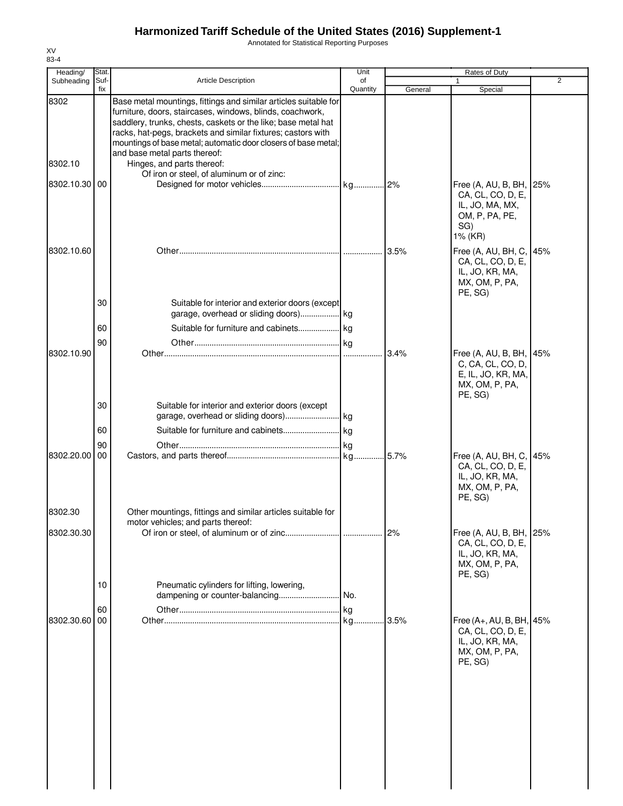Annotated for Statistical Reporting Purposes

| Heading/      | Stat.       |                                                                                                                                                                                                                                                                                                                                                                   | Unit           |         | Rates of Duty                                                                                   |     |
|---------------|-------------|-------------------------------------------------------------------------------------------------------------------------------------------------------------------------------------------------------------------------------------------------------------------------------------------------------------------------------------------------------------------|----------------|---------|-------------------------------------------------------------------------------------------------|-----|
| Subheading    | Suf-<br>fix | <b>Article Description</b>                                                                                                                                                                                                                                                                                                                                        | of<br>Quantity | General | 1<br>Special                                                                                    | 2   |
| 8302          |             | Base metal mountings, fittings and similar articles suitable for<br>furniture, doors, staircases, windows, blinds, coachwork,<br>saddlery, trunks, chests, caskets or the like; base metal hat<br>racks, hat-pegs, brackets and similar fixtures; castors with<br>mountings of base metal; automatic door closers of base metal;<br>and base metal parts thereof: |                |         |                                                                                                 |     |
| 8302.10       |             | Hinges, and parts thereof:<br>Of iron or steel, of aluminum or of zinc:                                                                                                                                                                                                                                                                                           |                |         |                                                                                                 |     |
| 8302.10.30 00 |             |                                                                                                                                                                                                                                                                                                                                                                   |                |         | Free (A, AU, B, BH,<br>CA, CL, CO, D, E,<br>IL, JO, MA, MX,<br>OM, P, PA, PE,<br>SG)<br>1% (KR) | 25% |
| 8302.10.60    |             |                                                                                                                                                                                                                                                                                                                                                                   |                |         | Free (A, AU, BH, C,<br>CA, CL, CO, D, E,<br>IL, JO, KR, MA,<br>MX, OM, P, PA,<br>PE, SG)        | 45% |
|               | 30          | Suitable for interior and exterior doors (except                                                                                                                                                                                                                                                                                                                  |                |         |                                                                                                 |     |
|               | 60          |                                                                                                                                                                                                                                                                                                                                                                   |                |         |                                                                                                 |     |
| 8302.10.90    | 90          |                                                                                                                                                                                                                                                                                                                                                                   |                | 3.4%    | Free (A, AU, B, BH,<br>C, CA, CL, CO, D,<br>E, IL, JO, KR, MA,<br>MX, OM, P, PA,                | 45% |
|               | 30          | Suitable for interior and exterior doors (except                                                                                                                                                                                                                                                                                                                  |                |         | PE, SG)                                                                                         |     |
|               | 60          |                                                                                                                                                                                                                                                                                                                                                                   |                |         |                                                                                                 |     |
| 8302.20.00    | 90<br>00    |                                                                                                                                                                                                                                                                                                                                                                   |                | .5.7%   | Free (A, AU, BH, C,<br>CA, CL, CO, D, E,<br>IL, JO, KR, MA,<br>MX, OM, P, PA,<br>PE, SG)        | 45% |
| 8302.30       |             | Other mountings, fittings and similar articles suitable for                                                                                                                                                                                                                                                                                                       |                |         |                                                                                                 |     |
| 8302.30.30    |             | motor vehicles; and parts thereof:                                                                                                                                                                                                                                                                                                                                |                | 2%      | Free (A, AU, B, BH,<br>CA, CL, CO, D, E,<br>IL, JO, KR, MA,<br>MX, OM, P, PA,<br>PE, SG)        | 25% |
|               | 10          | Pneumatic cylinders for lifting, lowering,                                                                                                                                                                                                                                                                                                                        |                |         |                                                                                                 |     |
|               | 60          |                                                                                                                                                                                                                                                                                                                                                                   |                |         |                                                                                                 |     |
| 8302.30.60    | 00          |                                                                                                                                                                                                                                                                                                                                                                   |                | 13.5%   | Free (A+, AU, B, BH, 45%<br>CA, CL, CO, D, E,<br>IL, JO, KR, MA,<br>MX, OM, P, PA,<br>PE, SG)   |     |
|               |             |                                                                                                                                                                                                                                                                                                                                                                   |                |         |                                                                                                 |     |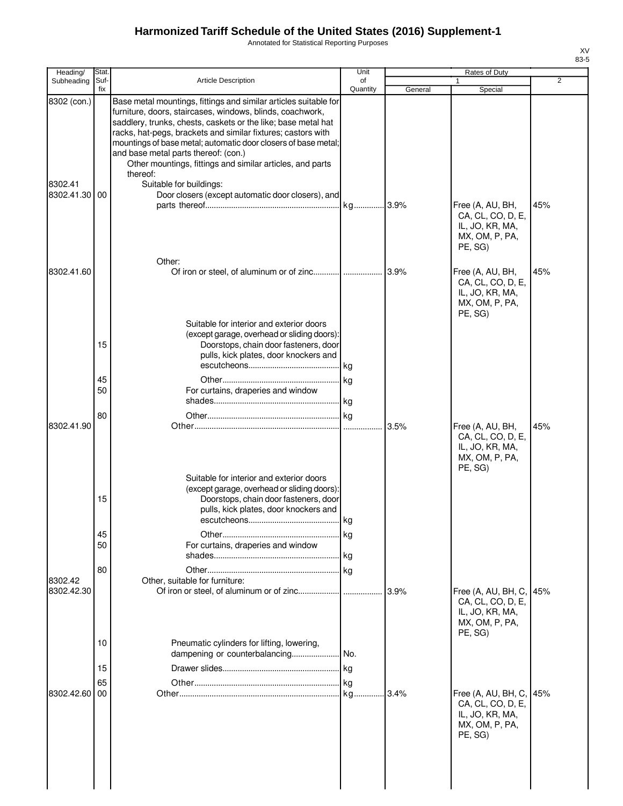Annotated for Statistical Reporting Purposes

| Heading/                             | Stat.       |                                                                                                                                                                                                                                                                                                                                                                                                                                                                                                                                   | Unit           |         | Rates of Duty                                                                            |     |
|--------------------------------------|-------------|-----------------------------------------------------------------------------------------------------------------------------------------------------------------------------------------------------------------------------------------------------------------------------------------------------------------------------------------------------------------------------------------------------------------------------------------------------------------------------------------------------------------------------------|----------------|---------|------------------------------------------------------------------------------------------|-----|
| Subheading                           | Suf-<br>fix | <b>Article Description</b>                                                                                                                                                                                                                                                                                                                                                                                                                                                                                                        | of<br>Quantity | General | 1<br>Special                                                                             | 2   |
| 8302 (con.)<br>8302.41<br>8302.41.30 | 00          | Base metal mountings, fittings and similar articles suitable for<br>furniture, doors, staircases, windows, blinds, coachwork,<br>saddlery, trunks, chests, caskets or the like; base metal hat<br>racks, hat-pegs, brackets and similar fixtures; castors with<br>mountings of base metal; automatic door closers of base metal;<br>and base metal parts thereof: (con.)<br>Other mountings, fittings and similar articles, and parts<br>thereof:<br>Suitable for buildings:<br>Door closers (except automatic door closers), and |                |         | Free (A, AU, BH,<br>CA, CL, CO, D, E,<br>IL, JO, KR, MA,<br>MX, OM, P, PA,               | 45% |
| 8302.41.60                           |             | Other:                                                                                                                                                                                                                                                                                                                                                                                                                                                                                                                            |                |         | PE, SG)<br>Free (A, AU, BH,                                                              | 45% |
|                                      | 15          | Suitable for interior and exterior doors<br>(except garage, overhead or sliding doors):<br>Doorstops, chain door fasteners, door<br>pulls, kick plates, door knockers and                                                                                                                                                                                                                                                                                                                                                         |                |         | CA, CL, CO, D, E,<br>IL, JO, KR, MA,<br>MX, OM, P, PA,<br>PE, SG)                        |     |
|                                      | 45<br>50    | For curtains, draperies and window                                                                                                                                                                                                                                                                                                                                                                                                                                                                                                |                |         |                                                                                          |     |
| 8302.41.90                           | 80          |                                                                                                                                                                                                                                                                                                                                                                                                                                                                                                                                   |                | 3.5%    | Free (A, AU, BH,<br>CA, CL, CO, D, E,<br>IL, JO, KR, MA,<br>MX, OM, P, PA,               | 45% |
|                                      | 15          | Suitable for interior and exterior doors<br>(except garage, overhead or sliding doors):<br>Doorstops, chain door fasteners, door<br>pulls, kick plates, door knockers and<br>escutcheons                                                                                                                                                                                                                                                                                                                                          | kg             |         | PE, SG)                                                                                  |     |
|                                      | 45<br>50    | For curtains, draperies and window                                                                                                                                                                                                                                                                                                                                                                                                                                                                                                |                |         |                                                                                          |     |
| 8302.42<br>8302.42.30                | 80          | Other, suitable for furniture:                                                                                                                                                                                                                                                                                                                                                                                                                                                                                                    |                | 3.9%    | Free (A, AU, BH, C,<br>CA, CL, CO, D, E,<br>IL, JO, KR, MA,<br>MX, OM, P, PA,            | 45% |
|                                      | 10          | Pneumatic cylinders for lifting, lowering,                                                                                                                                                                                                                                                                                                                                                                                                                                                                                        |                |         | PE, SG)                                                                                  |     |
|                                      | 15          |                                                                                                                                                                                                                                                                                                                                                                                                                                                                                                                                   |                |         |                                                                                          |     |
| 8302.42.60                           | 65<br>00    |                                                                                                                                                                                                                                                                                                                                                                                                                                                                                                                                   |                |         | Free (A, AU, BH, C,<br>CA, CL, CO, D, E,<br>IL, JO, KR, MA,<br>MX, OM, P, PA,<br>PE, SG) | 45% |
|                                      |             |                                                                                                                                                                                                                                                                                                                                                                                                                                                                                                                                   |                |         |                                                                                          |     |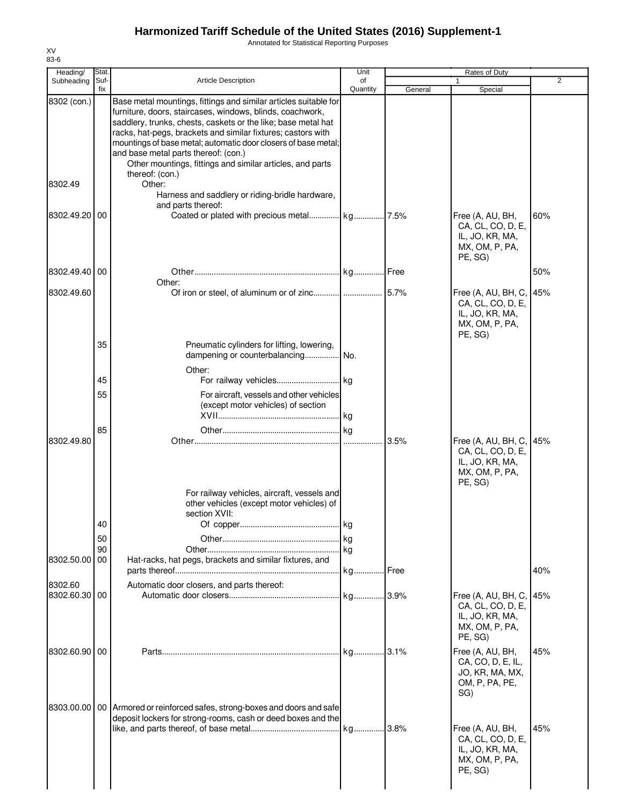Annotated for Statistical Reporting Purposes

| Heading/                    | Stat.          |                                                                                                                                                                                                                                                                                                                                                                                                                                                          | Unit           |         | Rates of Duty                                                                            |     |
|-----------------------------|----------------|----------------------------------------------------------------------------------------------------------------------------------------------------------------------------------------------------------------------------------------------------------------------------------------------------------------------------------------------------------------------------------------------------------------------------------------------------------|----------------|---------|------------------------------------------------------------------------------------------|-----|
| Subheading                  | Suf-<br>fix    | Article Description                                                                                                                                                                                                                                                                                                                                                                                                                                      | of<br>Quantity | General | 1<br>Special                                                                             | 2   |
| 8302 (con.)                 |                | Base metal mountings, fittings and similar articles suitable for<br>furniture, doors, staircases, windows, blinds, coachwork,<br>saddlery, trunks, chests, caskets or the like; base metal hat<br>racks, hat-pegs, brackets and similar fixtures; castors with<br>mountings of base metal; automatic door closers of base metal;<br>and base metal parts thereof: (con.)<br>Other mountings, fittings and similar articles, and parts<br>thereof: (con.) |                |         |                                                                                          |     |
| 8302.49                     |                | Other:<br>Harness and saddlery or riding-bridle hardware,                                                                                                                                                                                                                                                                                                                                                                                                |                |         |                                                                                          |     |
| 8302.49.20                  | 00             | and parts thereof:                                                                                                                                                                                                                                                                                                                                                                                                                                       |                |         | Free (A, AU, BH,<br>CA, CL, CO, D, E,<br>IL, JO, KR, MA,<br>MX, OM, P, PA,<br>PE, SG)    | 60% |
| 8302.49.40 00               |                | Other:                                                                                                                                                                                                                                                                                                                                                                                                                                                   |                |         |                                                                                          | 50% |
| 8302.49.60                  |                |                                                                                                                                                                                                                                                                                                                                                                                                                                                          |                |         | Free (A, AU, BH, C,<br>CA, CL, CO, D, E,<br>IL, JO, KR, MA,<br>MX, OM, P, PA,<br>PE, SG) | 45% |
|                             | 35             | Pneumatic cylinders for lifting, lowering,<br>dampening or counterbalancing<br>Other:                                                                                                                                                                                                                                                                                                                                                                    | No.            |         |                                                                                          |     |
|                             | 45             |                                                                                                                                                                                                                                                                                                                                                                                                                                                          |                |         |                                                                                          |     |
|                             | 55             | For aircraft, vessels and other vehicles<br>(except motor vehicles) of section                                                                                                                                                                                                                                                                                                                                                                           |                |         |                                                                                          |     |
| 8302.49.80                  | 85             |                                                                                                                                                                                                                                                                                                                                                                                                                                                          |                | 3.5%    | Free (A, AU, BH, C,                                                                      | 45% |
|                             | 40<br>50<br>90 | For railway vehicles, aircraft, vessels and<br>other vehicles (except motor vehicles) of<br>section XVII:                                                                                                                                                                                                                                                                                                                                                |                |         | CA, CL, CO, D, E,<br>IL, JO, KR, MA,<br>MX, OM, P, PA,<br>PE, SG)                        |     |
| 8302.50.00 00               |                | Hat-racks, hat pegs, brackets and similar fixtures, and                                                                                                                                                                                                                                                                                                                                                                                                  |                |         |                                                                                          | 40% |
| 8302.60<br>8302.60.30 00    |                | Automatic door closers, and parts thereof:                                                                                                                                                                                                                                                                                                                                                                                                               |                |         | Free (A, AU, BH, C,<br>CA, CL, CO, D, E,<br>IL, JO, KR, MA,<br>MX, OM, P, PA,<br>PE, SG) | 45% |
| 8302.60.90 00<br>8303.00.00 |                | 00 Armored or reinforced safes, strong-boxes and doors and safe                                                                                                                                                                                                                                                                                                                                                                                          |                |         | Free (A, AU, BH,<br>CA, CO, D, E, IL,<br>JO, KR, MA, MX,<br>OM, P, PA, PE,<br>SG)        | 45% |
|                             |                | deposit lockers for strong-rooms, cash or deed boxes and the                                                                                                                                                                                                                                                                                                                                                                                             |                |         | Free (A, AU, BH,<br>CA, CL, CO, D, E,<br>IL, JO, KR, MA,<br>MX, OM, P, PA,<br>PE, SG)    | 45% |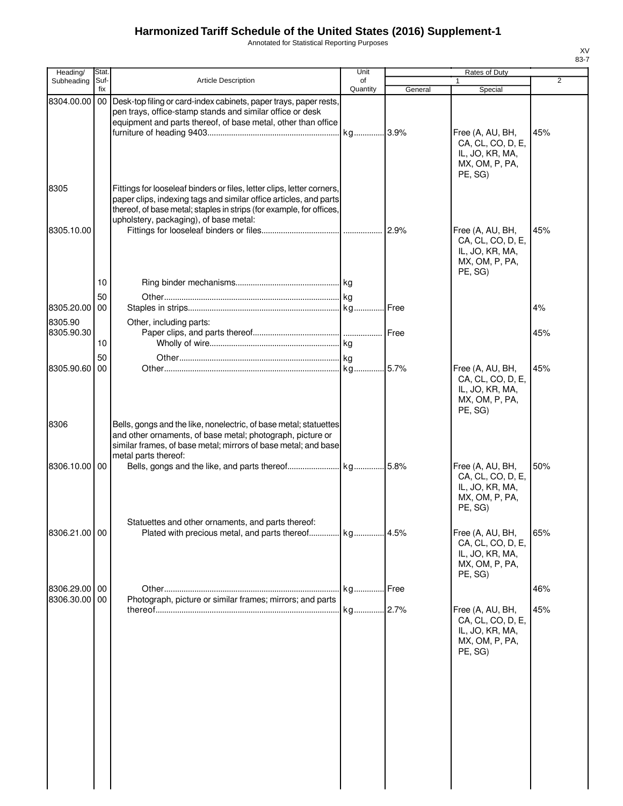Annotated for Statistical Reporting Purposes

| Heading/           | Stat.       |                                                                                                                                                                                                                                                               | Unit           |         | Rates of Duty                                                                         |     |
|--------------------|-------------|---------------------------------------------------------------------------------------------------------------------------------------------------------------------------------------------------------------------------------------------------------------|----------------|---------|---------------------------------------------------------------------------------------|-----|
| Subheading         | Suf-<br>fix | <b>Article Description</b>                                                                                                                                                                                                                                    | of<br>Quantity | General | $\mathbf{1}$<br>Special                                                               | 2   |
| 8304.00.00         |             | 00 Desk-top filing or card-index cabinets, paper trays, paper rests,<br>pen trays, office-stamp stands and similar office or desk<br>equipment and parts thereof, of base metal, other than office                                                            |                |         | Free (A, AU, BH,<br>CA, CL, CO, D, E,<br>IL, JO, KR, MA,<br>MX, OM, P, PA,            | 45% |
| 8305<br>8305.10.00 |             | Fittings for looseleaf binders or files, letter clips, letter corners,<br>paper clips, indexing tags and similar office articles, and parts<br>thereof, of base metal; staples in strips (for example, for offices,<br>upholstery, packaging), of base metal: |                |         | PE, SG)<br>Free (A, AU, BH,<br>CA, CL, CO, D, E,<br>IL, JO, KR, MA,<br>MX, OM, P, PA, | 45% |
|                    | 10          |                                                                                                                                                                                                                                                               |                |         | PE, SG)                                                                               |     |
|                    | 50          |                                                                                                                                                                                                                                                               |                |         |                                                                                       |     |
| 8305.20.00         | 00          |                                                                                                                                                                                                                                                               |                |         |                                                                                       | 4%  |
| 8305.90            |             | Other, including parts:                                                                                                                                                                                                                                       |                |         |                                                                                       |     |
| 8305.90.30         | 10          |                                                                                                                                                                                                                                                               |                |         |                                                                                       | 45% |
|                    | 50          |                                                                                                                                                                                                                                                               |                |         |                                                                                       |     |
| 8305.90.60         | 00          |                                                                                                                                                                                                                                                               |                |         | Free (A, AU, BH,<br>CA, CL, CO, D, E,<br>IL, JO, KR, MA,<br>MX, OM, P, PA,<br>PE, SG) | 45% |
| 8306               |             | Bells, gongs and the like, nonelectric, of base metal; statuettes<br>and other ornaments, of base metal; photograph, picture or<br>similar frames, of base metal; mirrors of base metal; and base<br>metal parts thereof:                                     |                |         |                                                                                       |     |
| 8306.10.00         | 00          |                                                                                                                                                                                                                                                               |                |         | Free (A, AU, BH,<br>CA, CL, CO, D, E,<br>IL, JO, KR, MA,<br>MX, OM, P, PA,<br>PE, SG) | 50% |
|                    |             | Statuettes and other ornaments, and parts thereof:                                                                                                                                                                                                            |                |         |                                                                                       |     |
| 8306.21.00 00      |             |                                                                                                                                                                                                                                                               |                |         | Free (A, AU, BH,<br>CA, CL, CO, D, E,<br>IL, JO, KR, MA,<br>MX, OM, P, PA,<br>PE, SG) | 65% |
| 8306.29.00         | 00          |                                                                                                                                                                                                                                                               |                |         |                                                                                       | 46% |
| 8306.30.00         | 00          | Photograph, picture or similar frames; mirrors; and parts                                                                                                                                                                                                     |                |         | Free (A, AU, BH,<br>CA, CL, CO, D, E,<br>IL, JO, KR, MA,<br>MX, OM, P, PA,<br>PE, SG) | 45% |
|                    |             |                                                                                                                                                                                                                                                               |                |         |                                                                                       |     |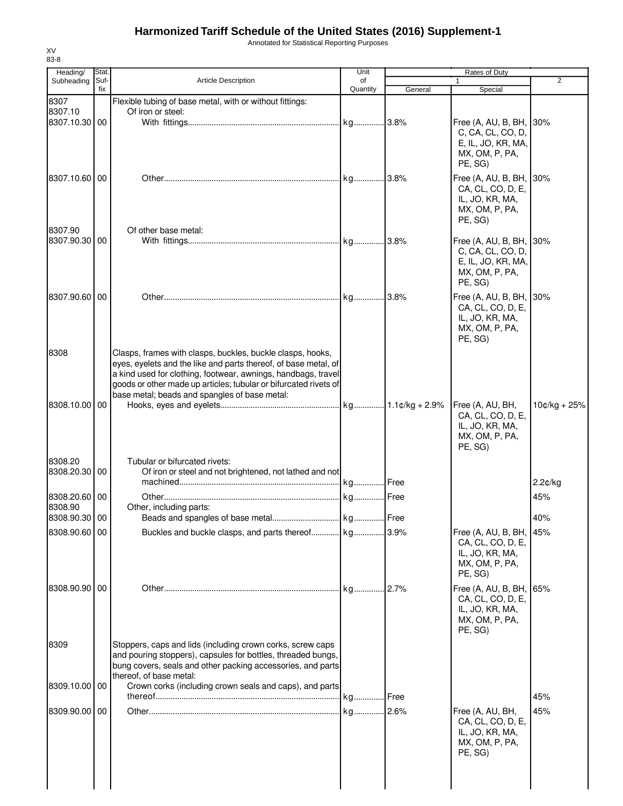Annotated for Statistical Reporting Purposes

| Heading/                      | Stat.       |                                                                                                                                                                                                                                                                                                                     | Unit           |         | Rates of Duty                                                                               | $\overline{2}$ |
|-------------------------------|-------------|---------------------------------------------------------------------------------------------------------------------------------------------------------------------------------------------------------------------------------------------------------------------------------------------------------------------|----------------|---------|---------------------------------------------------------------------------------------------|----------------|
| Subheading                    | Suf-<br>fix | <b>Article Description</b>                                                                                                                                                                                                                                                                                          | of<br>Quantity | General | 1<br>Special                                                                                |                |
| 8307<br>8307.10<br>8307.10.30 | 00          | Flexible tubing of base metal, with or without fittings:<br>Of iron or steel:                                                                                                                                                                                                                                       |                |         | Free (A, AU, B, BH,<br>C, CA, CL, CO, D,<br>E, IL, JO, KR, MA,<br>MX, OM, P, PA,<br>PE, SG) | 30%            |
| 8307.10.60 00                 |             |                                                                                                                                                                                                                                                                                                                     |                |         | Free (A, AU, B, BH,<br>CA, CL, CO, D, E,<br>IL, JO, KR, MA,<br>MX, OM, P, PA,<br>PE, SG)    | 30%            |
| 8307.90<br>8307.90.30 00      |             | Of other base metal:                                                                                                                                                                                                                                                                                                |                |         | Free (A, AU, B, BH,<br>C, CA, CL, CO, D,<br>E, IL, JO, KR, MA,<br>MX, OM, P, PA,<br>PE, SG) | 30%            |
| 8307.90.60 00                 |             |                                                                                                                                                                                                                                                                                                                     |                |         | Free (A, AU, B, BH,<br>CA, CL, CO, D, E,<br>IL, JO, KR, MA,<br>MX, OM, P, PA,<br>PE, SG)    | 30%            |
| 8308<br>8308.10.00 00         |             | Clasps, frames with clasps, buckles, buckle clasps, hooks,<br>eyes, eyelets and the like and parts thereof, of base metal, of<br>a kind used for clothing, footwear, awnings, handbags, travel<br>goods or other made up articles; tubular or bifurcated rivets of<br>base metal; beads and spangles of base metal: |                |         | Free (A, AU, BH,                                                                            | $10¢/kg + 25%$ |
| 8308.20                       |             | Tubular or bifurcated rivets:                                                                                                                                                                                                                                                                                       |                |         | CA, CL, CO, D, E,<br>IL, JO, KR, MA,<br>MX, OM, P, PA,<br>PE, SG)                           |                |
| 8308.20.30 00                 |             | Of iron or steel and not brightened, not lathed and not                                                                                                                                                                                                                                                             |                |         |                                                                                             | $2.2$ ¢/kg     |
| 8308.20.60 00<br>8308.90      |             | Other, including parts:                                                                                                                                                                                                                                                                                             |                |         |                                                                                             | 45%            |
| 8308.90.30 00                 |             |                                                                                                                                                                                                                                                                                                                     |                |         |                                                                                             | 40%            |
| 8308.90.60 00                 |             | Buckles and buckle clasps, and parts thereof kg 3.9%                                                                                                                                                                                                                                                                |                |         | Free (A, AU, B, BH,<br>CA, CL, CO, D, E,<br>IL, JO, KR, MA,<br>MX, OM, P, PA,<br>PE, SG)    | 45%            |
| 8308.90.90 00                 |             |                                                                                                                                                                                                                                                                                                                     |                |         | Free (A, AU, B, BH,<br>CA, CL, CO, D, E,<br>IL, JO, KR, MA,<br>MX, OM, P, PA,<br>PE, SG)    | 65%            |
| 8309                          |             | Stoppers, caps and lids (including crown corks, screw caps<br>and pouring stoppers), capsules for bottles, threaded bungs,<br>bung covers, seals and other packing accessories, and parts<br>thereof, of base metal:                                                                                                |                |         |                                                                                             |                |
| 8309.10.00 00                 |             | Crown corks (including crown seals and caps), and parts                                                                                                                                                                                                                                                             |                |         |                                                                                             | 45%            |
| 8309.90.00 00                 |             |                                                                                                                                                                                                                                                                                                                     |                |         | Free (A, AU, BH,<br>CA, CL, CO, D, E,<br>IL, JO, KR, MA,<br>MX, OM, P, PA,<br>PE, SG)       | 45%            |
|                               |             |                                                                                                                                                                                                                                                                                                                     |                |         |                                                                                             |                |

XV